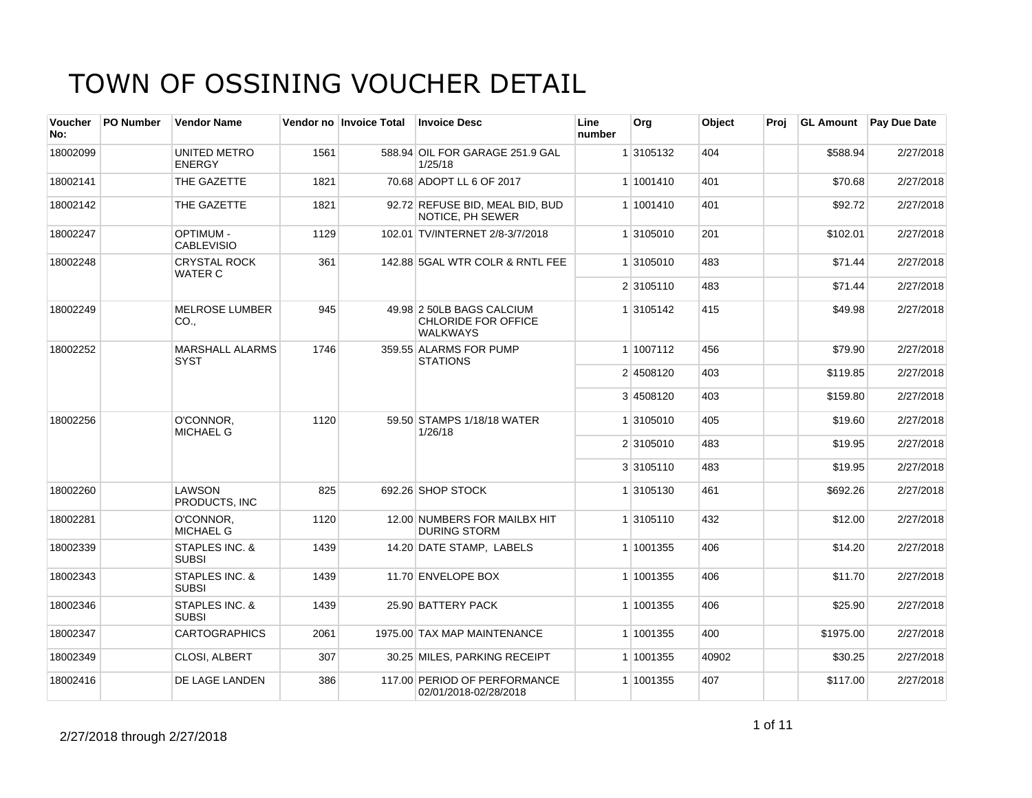| <b>Voucher</b><br>No: | <b>PO Number</b> | <b>Vendor Name</b>                    |      | Vendor no Invoice Total | <b>Invoice Desc</b>                                                 | Line<br>number | Org       | Object | Proj | <b>GL Amount</b> | <b>Pay Due Date</b> |
|-----------------------|------------------|---------------------------------------|------|-------------------------|---------------------------------------------------------------------|----------------|-----------|--------|------|------------------|---------------------|
| 18002099              |                  | UNITED METRO<br><b>ENERGY</b>         | 1561 |                         | 588.94 OIL FOR GARAGE 251.9 GAL<br>1/25/18                          |                | 1 3105132 | 404    |      | \$588.94         | 2/27/2018           |
| 18002141              |                  | THE GAZETTE                           | 1821 |                         | 70.68 ADOPT LL 6 OF 2017                                            |                | 1 1001410 | 401    |      | \$70.68          | 2/27/2018           |
| 18002142              |                  | THE GAZETTE                           | 1821 |                         | 92.72 REFUSE BID, MEAL BID, BUD<br>NOTICE, PH SEWER                 |                | 1 1001410 | 401    |      | \$92.72          | 2/27/2018           |
| 18002247              |                  | <b>OPTIMUM -</b><br><b>CABLEVISIO</b> | 1129 |                         | 102.01 TV/INTERNET 2/8-3/7/2018                                     |                | 1 3105010 | 201    |      | \$102.01         | 2/27/2018           |
| 18002248              |                  | <b>CRYSTAL ROCK</b><br><b>WATER C</b> | 361  |                         | 142.88 5GAL WTR COLR & RNTL FEE                                     |                | 1 3105010 | 483    |      | \$71.44          | 2/27/2018           |
|                       |                  |                                       |      |                         |                                                                     |                | 2 3105110 | 483    |      | \$71.44          | 2/27/2018           |
| 18002249              |                  | <b>MELROSE LUMBER</b><br>CO.,         | 945  |                         | 49.98 2 50LB BAGS CALCIUM<br>CHLORIDE FOR OFFICE<br><b>WALKWAYS</b> |                | 1 3105142 | 415    |      | \$49.98          | 2/27/2018           |
| 18002252              |                  | <b>MARSHALL ALARMS</b><br><b>SYST</b> | 1746 |                         | 359.55 ALARMS FOR PUMP<br><b>STATIONS</b>                           |                | 1 1007112 | 456    |      | \$79.90          | 2/27/2018           |
|                       |                  |                                       |      |                         |                                                                     |                | 2 4508120 | 403    |      | \$119.85         | 2/27/2018           |
|                       |                  |                                       |      |                         |                                                                     |                | 3 4508120 | 403    |      | \$159.80         | 2/27/2018           |
| 18002256              |                  | O'CONNOR,<br><b>MICHAEL G</b>         | 1120 |                         | 59.50 STAMPS 1/18/18 WATER<br>1/26/18                               |                | 1 3105010 | 405    |      | \$19.60          | 2/27/2018           |
|                       |                  |                                       |      |                         |                                                                     |                | 2 3105010 | 483    |      | \$19.95          | 2/27/2018           |
|                       |                  |                                       |      |                         |                                                                     |                | 3 3105110 | 483    |      | \$19.95          | 2/27/2018           |
| 18002260              |                  | LAWSON<br>PRODUCTS. INC               | 825  |                         | 692.26 SHOP STOCK                                                   |                | 1 3105130 | 461    |      | \$692.26         | 2/27/2018           |
| 18002281              |                  | O'CONNOR,<br><b>MICHAEL G</b>         | 1120 |                         | 12.00 NUMBERS FOR MAILBX HIT<br><b>DURING STORM</b>                 |                | 1 3105110 | 432    |      | \$12.00          | 2/27/2018           |
| 18002339              |                  | STAPLES INC. &<br><b>SUBSI</b>        | 1439 |                         | 14.20 DATE STAMP, LABELS                                            |                | 1 1001355 | 406    |      | \$14.20          | 2/27/2018           |
| 18002343              |                  | STAPLES INC. &<br><b>SUBSI</b>        | 1439 |                         | 11.70 ENVELOPE BOX                                                  |                | 1 1001355 | 406    |      | \$11.70          | 2/27/2018           |
| 18002346              |                  | STAPLES INC. &<br><b>SUBSI</b>        | 1439 |                         | 25.90 BATTERY PACK                                                  |                | 1 1001355 | 406    |      | \$25.90          | 2/27/2018           |
| 18002347              |                  | <b>CARTOGRAPHICS</b>                  | 2061 |                         | 1975.00 TAX MAP MAINTENANCE                                         |                | 1 1001355 | 400    |      | \$1975.00        | 2/27/2018           |
| 18002349              |                  | CLOSI, ALBERT                         | 307  |                         | 30.25 MILES, PARKING RECEIPT                                        |                | 1 1001355 | 40902  |      | \$30.25          | 2/27/2018           |
| 18002416              |                  | DE LAGE LANDEN                        | 386  |                         | 117.00 PERIOD OF PERFORMANCE<br>02/01/2018-02/28/2018               |                | 1 1001355 | 407    |      | \$117.00         | 2/27/2018           |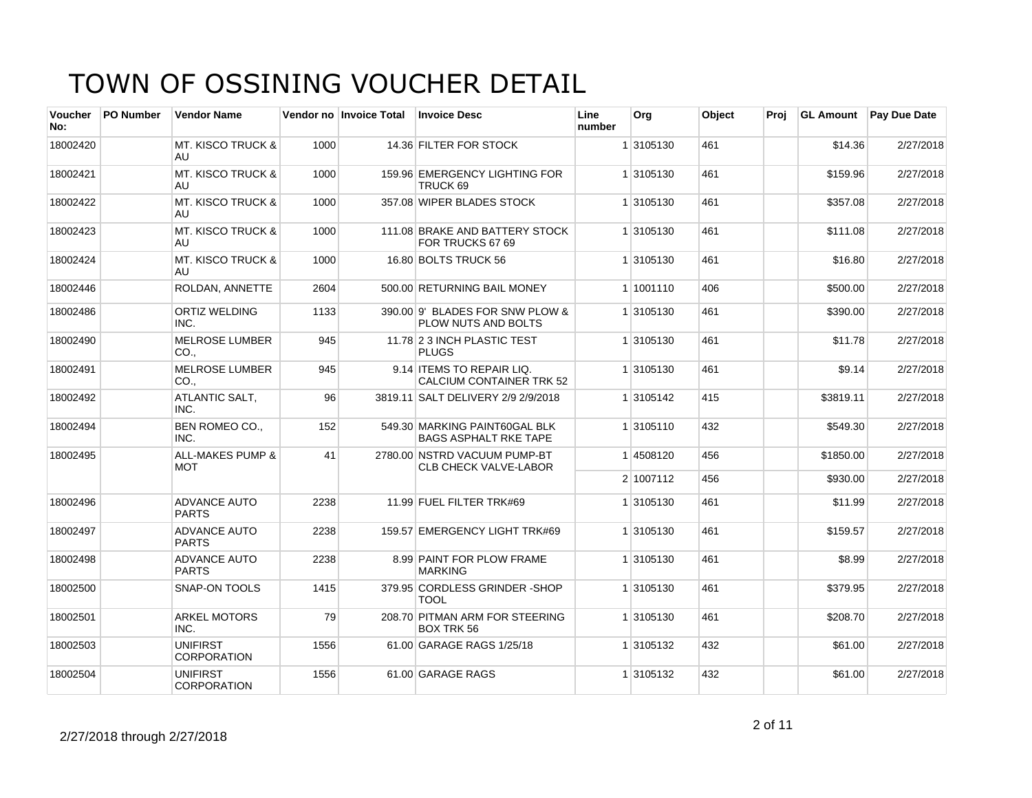| <b>Voucher</b><br>No: | PO Number | <b>Vendor Name</b>                        |      | Vendor no Invoice Total | <b>Invoice Desc</b>                                           | Line<br>number | Org       | Object | Proj | <b>GL Amount</b> | Pay Due Date |
|-----------------------|-----------|-------------------------------------------|------|-------------------------|---------------------------------------------------------------|----------------|-----------|--------|------|------------------|--------------|
| 18002420              |           | <b>MT. KISCO TRUCK &amp;</b><br>AU.       | 1000 |                         | 14.36 FILTER FOR STOCK                                        |                | 1 3105130 | 461    |      | \$14.36          | 2/27/2018    |
| 18002421              |           | <b>MT. KISCO TRUCK &amp;</b><br>AU.       | 1000 |                         | 159.96 EMERGENCY LIGHTING FOR<br>TRUCK 69                     |                | 1 3105130 | 461    |      | \$159.96         | 2/27/2018    |
| 18002422              |           | <b>MT. KISCO TRUCK &amp;</b><br>AU        | 1000 |                         | 357.08 WIPER BLADES STOCK                                     |                | 1 3105130 | 461    |      | \$357.08         | 2/27/2018    |
| 18002423              |           | <b>MT. KISCO TRUCK &amp;</b><br>AU.       | 1000 |                         | 111.08 BRAKE AND BATTERY STOCK<br>FOR TRUCKS 67 69            |                | 1 3105130 | 461    |      | \$111.08         | 2/27/2018    |
| 18002424              |           | <b>MT. KISCO TRUCK &amp;</b><br>AU.       | 1000 |                         | 16.80 BOLTS TRUCK 56                                          |                | 1 3105130 | 461    |      | \$16.80          | 2/27/2018    |
| 18002446              |           | <b>ROLDAN, ANNETTE</b>                    | 2604 |                         | 500.00 RETURNING BAIL MONEY                                   |                | 1 1001110 | 406    |      | \$500.00         | 2/27/2018    |
| 18002486              |           | <b>ORTIZ WELDING</b><br>INC.              | 1133 |                         | 390.00 9' BLADES FOR SNW PLOW &<br>PLOW NUTS AND BOLTS        |                | 1 3105130 | 461    |      | \$390.00         | 2/27/2018    |
| 18002490              |           | <b>MELROSE LUMBER</b><br>CO.              | 945  |                         | 11.78 2 3 INCH PLASTIC TEST<br><b>PLUGS</b>                   |                | 1 3105130 | 461    |      | \$11.78          | 2/27/2018    |
| 18002491              |           | <b>MELROSE LUMBER</b><br>CO.,             | 945  |                         | 9.14 ITEMS TO REPAIR LIQ.<br><b>CALCIUM CONTAINER TRK 52</b>  |                | 1 3105130 | 461    |      | \$9.14           | 2/27/2018    |
| 18002492              |           | ATLANTIC SALT,<br>INC.                    | 96   |                         | 3819.11 SALT DELIVERY 2/9 2/9/2018                            |                | 1 3105142 | 415    |      | \$3819.11        | 2/27/2018    |
| 18002494              |           | <b>BEN ROMEO CO.,</b><br>INC.             | 152  |                         | 549.30 MARKING PAINT60GAL BLK<br><b>BAGS ASPHALT RKE TAPE</b> |                | 1 3105110 | 432    |      | \$549.30         | 2/27/2018    |
| 18002495              |           | <b>ALL-MAKES PUMP &amp;</b><br><b>MOT</b> | 41   |                         | 2780.00 NSTRD VACUUM PUMP-BT<br><b>CLB CHECK VALVE-LABOR</b>  |                | 1 4508120 | 456    |      | \$1850.00        | 2/27/2018    |
|                       |           |                                           |      |                         |                                                               |                | 2 1007112 | 456    |      | \$930.00         | 2/27/2018    |
| 18002496              |           | <b>ADVANCE AUTO</b><br><b>PARTS</b>       | 2238 |                         | 11.99 FUEL FILTER TRK#69                                      |                | 1 3105130 | 461    |      | \$11.99          | 2/27/2018    |
| 18002497              |           | ADVANCE AUTO<br><b>PARTS</b>              | 2238 |                         | 159.57 EMERGENCY LIGHT TRK#69                                 |                | 1 3105130 | 461    |      | \$159.57         | 2/27/2018    |
| 18002498              |           | <b>ADVANCE AUTO</b><br><b>PARTS</b>       | 2238 |                         | 8.99 PAINT FOR PLOW FRAME<br><b>MARKING</b>                   |                | 1 3105130 | 461    |      | \$8.99           | 2/27/2018    |
| 18002500              |           | <b>SNAP-ON TOOLS</b>                      | 1415 |                         | 379.95 CORDLESS GRINDER - SHOP<br><b>TOOL</b>                 |                | 1 3105130 | 461    |      | \$379.95         | 2/27/2018    |
| 18002501              |           | <b>ARKEL MOTORS</b><br>INC.               | 79   |                         | 208.70 PITMAN ARM FOR STEERING<br><b>BOX TRK 56</b>           |                | 1 3105130 | 461    |      | \$208.70         | 2/27/2018    |
| 18002503              |           | <b>UNIFIRST</b><br><b>CORPORATION</b>     | 1556 |                         | 61.00 GARAGE RAGS 1/25/18                                     |                | 1 3105132 | 432    |      | \$61.00          | 2/27/2018    |
| 18002504              |           | <b>UNIFIRST</b><br><b>CORPORATION</b>     | 1556 |                         | 61.00 GARAGE RAGS                                             |                | 1 3105132 | 432    |      | \$61.00          | 2/27/2018    |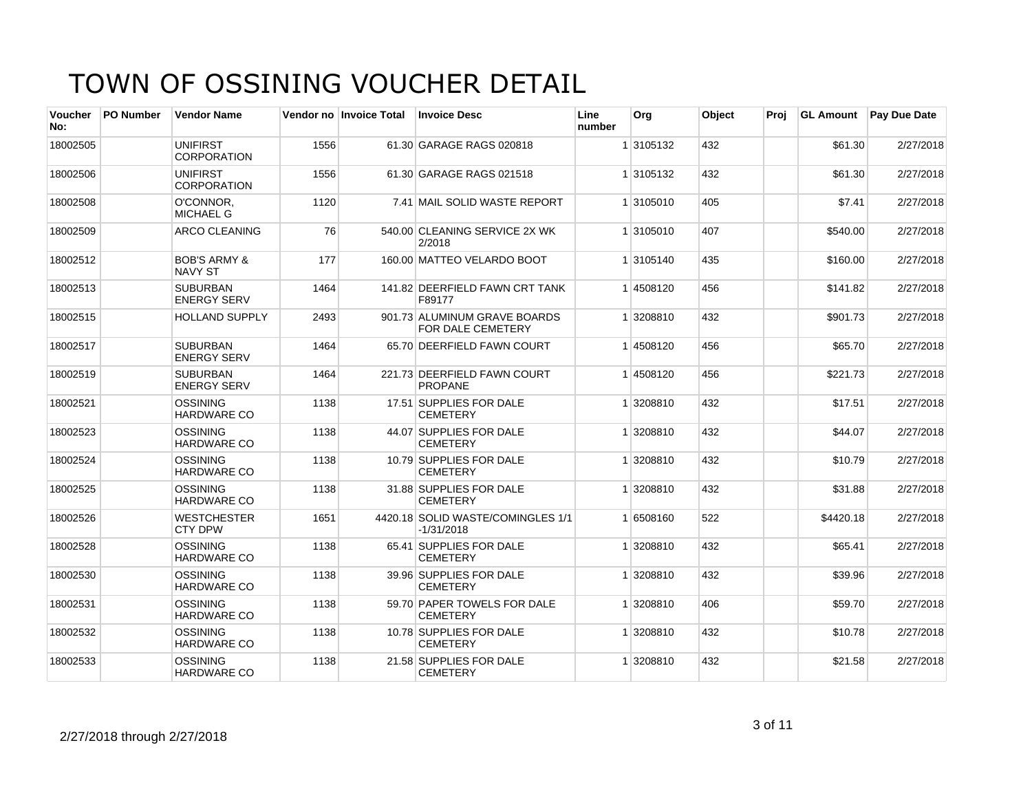| Voucher<br>No: | <b>PO Number</b> | <b>Vendor Name</b>                        |      | Vendor no Invoice Total | <b>Invoice Desc</b>                               | Line<br>number | <b>Org</b> | Object | Proi | <b>GL Amount</b> | <b>Pay Due Date</b> |
|----------------|------------------|-------------------------------------------|------|-------------------------|---------------------------------------------------|----------------|------------|--------|------|------------------|---------------------|
| 18002505       |                  | <b>UNIFIRST</b><br>CORPORATION            | 1556 |                         | 61.30 GARAGE RAGS 020818                          |                | 1 3105132  | 432    |      | \$61.30          | 2/27/2018           |
| 18002506       |                  | <b>UNIFIRST</b><br><b>CORPORATION</b>     | 1556 |                         | 61.30 GARAGE RAGS 021518                          |                | 1 3105132  | 432    |      | \$61.30          | 2/27/2018           |
| 18002508       |                  | O'CONNOR.<br><b>MICHAEL G</b>             | 1120 |                         | 7.41 MAIL SOLID WASTE REPORT                      |                | 1 3105010  | 405    |      | \$7.41           | 2/27/2018           |
| 18002509       |                  | ARCO CLEANING                             | 76   |                         | 540.00 CLEANING SERVICE 2X WK<br>2/2018           |                | 1 3105010  | 407    |      | \$540.00         | 2/27/2018           |
| 18002512       |                  | <b>BOB'S ARMY &amp;</b><br><b>NAVY ST</b> | 177  |                         | 160.00 MATTEO VELARDO BOOT                        |                | 1 3105140  | 435    |      | \$160.00         | 2/27/2018           |
| 18002513       |                  | <b>SUBURBAN</b><br><b>ENERGY SERV</b>     | 1464 |                         | 141.82 DEERFIELD FAWN CRT TANK<br>F89177          |                | 1 4508120  | 456    |      | \$141.82         | 2/27/2018           |
| 18002515       |                  | <b>HOLLAND SUPPLY</b>                     | 2493 |                         | 901.73 ALUMINUM GRAVE BOARDS<br>FOR DALE CEMETERY |                | 1 3208810  | 432    |      | \$901.73         | 2/27/2018           |
| 18002517       |                  | <b>SUBURBAN</b><br><b>ENERGY SERV</b>     | 1464 |                         | 65.70 DEERFIELD FAWN COURT                        |                | 14508120   | 456    |      | \$65.70          | 2/27/2018           |
| 18002519       |                  | <b>SUBURBAN</b><br><b>ENERGY SERV</b>     | 1464 |                         | 221.73 DEERFIELD FAWN COURT<br><b>PROPANE</b>     |                | 1 4508120  | 456    |      | \$221.73         | 2/27/2018           |
| 18002521       |                  | <b>OSSINING</b><br>HARDWARE CO            | 1138 |                         | 17.51 SUPPLIES FOR DALE<br><b>CEMETERY</b>        |                | 1 3208810  | 432    |      | \$17.51          | 2/27/2018           |
| 18002523       |                  | <b>OSSINING</b><br><b>HARDWARE CO</b>     | 1138 |                         | 44.07 SUPPLIES FOR DALE<br><b>CEMETERY</b>        |                | 1 3208810  | 432    |      | \$44.07          | 2/27/2018           |
| 18002524       |                  | <b>OSSINING</b><br><b>HARDWARE CO</b>     | 1138 |                         | 10.79 SUPPLIES FOR DALE<br><b>CEMETERY</b>        |                | 1 3208810  | 432    |      | \$10.79          | 2/27/2018           |
| 18002525       |                  | <b>OSSINING</b><br><b>HARDWARE CO</b>     | 1138 |                         | 31.88 SUPPLIES FOR DALE<br><b>CEMETERY</b>        |                | 1 3208810  | 432    |      | \$31.88          | 2/27/2018           |
| 18002526       |                  | <b>WESTCHESTER</b><br>CTY DPW             | 1651 |                         | 4420.18 SOLID WASTE/COMINGLES 1/1<br>$-1/31/2018$ |                | 1 6508160  | 522    |      | \$4420.18        | 2/27/2018           |
| 18002528       |                  | <b>OSSINING</b><br><b>HARDWARE CO</b>     | 1138 |                         | 65.41 SUPPLIES FOR DALE<br><b>CEMETERY</b>        |                | 1 3208810  | 432    |      | \$65.41          | 2/27/2018           |
| 18002530       |                  | <b>OSSINING</b><br><b>HARDWARE CO</b>     | 1138 |                         | 39.96 SUPPLIES FOR DALE<br><b>CEMETERY</b>        |                | 1 3208810  | 432    |      | \$39.96          | 2/27/2018           |
| 18002531       |                  | <b>OSSINING</b><br>HARDWARE CO            | 1138 |                         | 59.70 PAPER TOWELS FOR DALE<br><b>CEMETERY</b>    |                | 1 3208810  | 406    |      | \$59.70          | 2/27/2018           |
| 18002532       |                  | <b>OSSINING</b><br><b>HARDWARE CO</b>     | 1138 |                         | 10.78 SUPPLIES FOR DALE<br><b>CEMETERY</b>        |                | 1 3208810  | 432    |      | \$10.78          | 2/27/2018           |
| 18002533       |                  | <b>OSSINING</b><br><b>HARDWARE CO</b>     | 1138 |                         | 21.58 SUPPLIES FOR DALE<br><b>CEMETERY</b>        |                | 1 3208810  | 432    |      | \$21.58          | 2/27/2018           |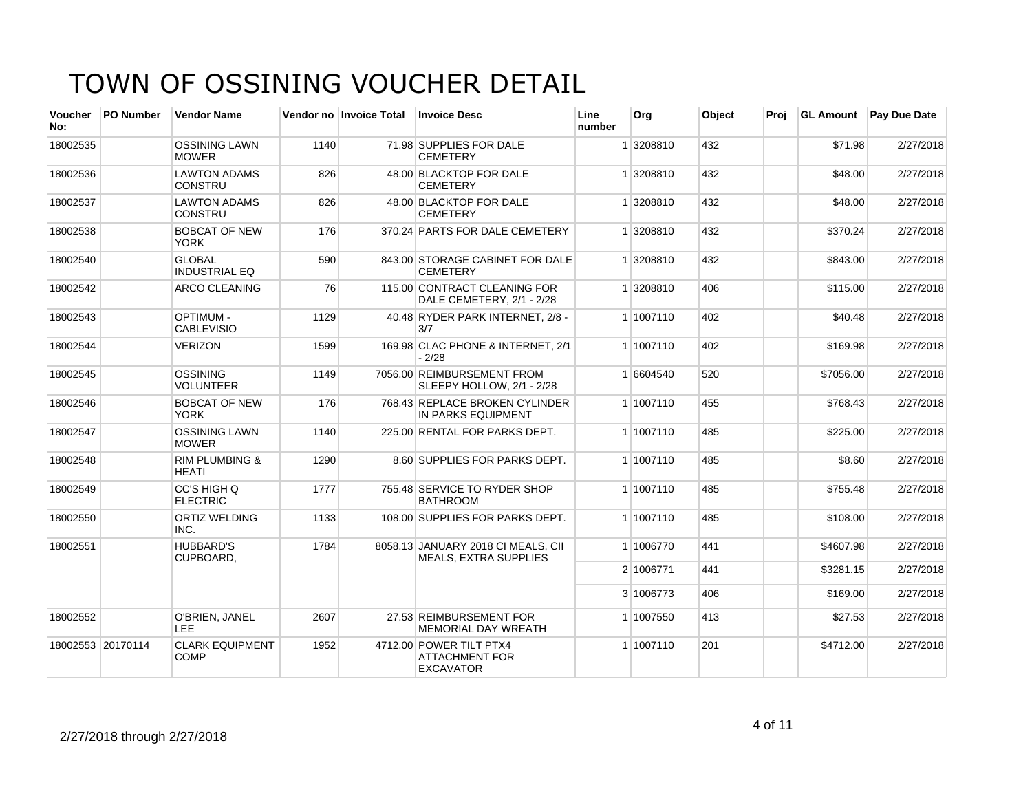| <b>Voucher</b><br>No: | <b>PO Number</b>  | <b>Vendor Name</b>                        |      | Vendor no Invoice Total | <b>Invoice Desc</b>                                                  | Line<br>number | Org       | Object | Proj | <b>GL Amount</b> | Pay Due Date |
|-----------------------|-------------------|-------------------------------------------|------|-------------------------|----------------------------------------------------------------------|----------------|-----------|--------|------|------------------|--------------|
| 18002535              |                   | <b>OSSINING LAWN</b><br><b>MOWER</b>      | 1140 |                         | 71.98 SUPPLIES FOR DALE<br><b>CEMETERY</b>                           |                | 1 3208810 | 432    |      | \$71.98          | 2/27/2018    |
| 18002536              |                   | <b>LAWTON ADAMS</b><br><b>CONSTRU</b>     | 826  |                         | 48.00 BLACKTOP FOR DALE<br><b>CEMETERY</b>                           |                | 1 3208810 | 432    |      | \$48.00          | 2/27/2018    |
| 18002537              |                   | <b>LAWTON ADAMS</b><br><b>CONSTRU</b>     | 826  |                         | 48.00 BLACKTOP FOR DALE<br><b>CEMETERY</b>                           |                | 1 3208810 | 432    |      | \$48.00          | 2/27/2018    |
| 18002538              |                   | <b>BOBCAT OF NEW</b><br><b>YORK</b>       | 176  |                         | 370.24 PARTS FOR DALE CEMETERY                                       |                | 1 3208810 | 432    |      | \$370.24         | 2/27/2018    |
| 18002540              |                   | <b>GLOBAL</b><br><b>INDUSTRIAL EQ</b>     | 590  |                         | 843.00 STORAGE CABINET FOR DALE<br><b>CEMETERY</b>                   |                | 1 3208810 | 432    |      | \$843.00         | 2/27/2018    |
| 18002542              |                   | <b>ARCO CLEANING</b>                      | 76   |                         | 115.00 CONTRACT CLEANING FOR<br>DALE CEMETERY, 2/1 - 2/28            |                | 1 3208810 | 406    |      | \$115.00         | 2/27/2018    |
| 18002543              |                   | <b>OPTIMUM-</b><br><b>CABLEVISIO</b>      | 1129 |                         | 40.48 RYDER PARK INTERNET, 2/8 -<br>3/7                              |                | 1 1007110 | 402    |      | \$40.48          | 2/27/2018    |
| 18002544              |                   | <b>VERIZON</b>                            | 1599 |                         | 169.98 CLAC PHONE & INTERNET, 2/1<br>$-2/28$                         |                | 1 1007110 | 402    |      | \$169.98         | 2/27/2018    |
| 18002545              |                   | <b>OSSINING</b><br><b>VOLUNTEER</b>       | 1149 |                         | 7056.00 REIMBURSEMENT FROM<br>SLEEPY HOLLOW, 2/1 - 2/28              |                | 1 6604540 | 520    |      | \$7056.00        | 2/27/2018    |
| 18002546              |                   | <b>BOBCAT OF NEW</b><br><b>YORK</b>       | 176  |                         | 768.43 REPLACE BROKEN CYLINDER<br>IN PARKS EQUIPMENT                 |                | 1 1007110 | 455    |      | \$768.43         | 2/27/2018    |
| 18002547              |                   | <b>OSSINING LAWN</b><br><b>MOWER</b>      | 1140 |                         | 225.00 RENTAL FOR PARKS DEPT.                                        |                | 1 1007110 | 485    |      | \$225.00         | 2/27/2018    |
| 18002548              |                   | <b>RIM PLUMBING &amp;</b><br><b>HEATI</b> | 1290 |                         | 8.60 SUPPLIES FOR PARKS DEPT.                                        |                | 1 1007110 | 485    |      | \$8.60           | 2/27/2018    |
| 18002549              |                   | CC'S HIGH Q<br><b>ELECTRIC</b>            | 1777 |                         | 755.48 SERVICE TO RYDER SHOP<br><b>BATHROOM</b>                      |                | 1 1007110 | 485    |      | \$755.48         | 2/27/2018    |
| 18002550              |                   | <b>ORTIZ WELDING</b><br>INC.              | 1133 |                         | 108.00 SUPPLIES FOR PARKS DEPT.                                      |                | 1 1007110 | 485    |      | \$108.00         | 2/27/2018    |
| 18002551              |                   | <b>HUBBARD'S</b><br>CUPBOARD,             | 1784 |                         | 8058.13 JANUARY 2018 CI MEALS, CII<br><b>MEALS, EXTRA SUPPLIES</b>   |                | 1 1006770 | 441    |      | \$4607.98        | 2/27/2018    |
|                       |                   |                                           |      |                         |                                                                      |                | 2 1006771 | 441    |      | \$3281.15        | 2/27/2018    |
|                       |                   |                                           |      |                         |                                                                      |                | 3 1006773 | 406    |      | \$169.00         | 2/27/2018    |
| 18002552              |                   | O'BRIEN, JANEL<br>LEE.                    | 2607 |                         | 27.53 REIMBURSEMENT FOR<br><b>MEMORIAL DAY WREATH</b>                |                | 1 1007550 | 413    |      | \$27.53          | 2/27/2018    |
|                       | 18002553 20170114 | <b>CLARK EQUIPMENT</b><br><b>COMP</b>     | 1952 |                         | 4712.00 POWER TILT PTX4<br><b>ATTACHMENT FOR</b><br><b>EXCAVATOR</b> |                | 1 1007110 | 201    |      | \$4712.00        | 2/27/2018    |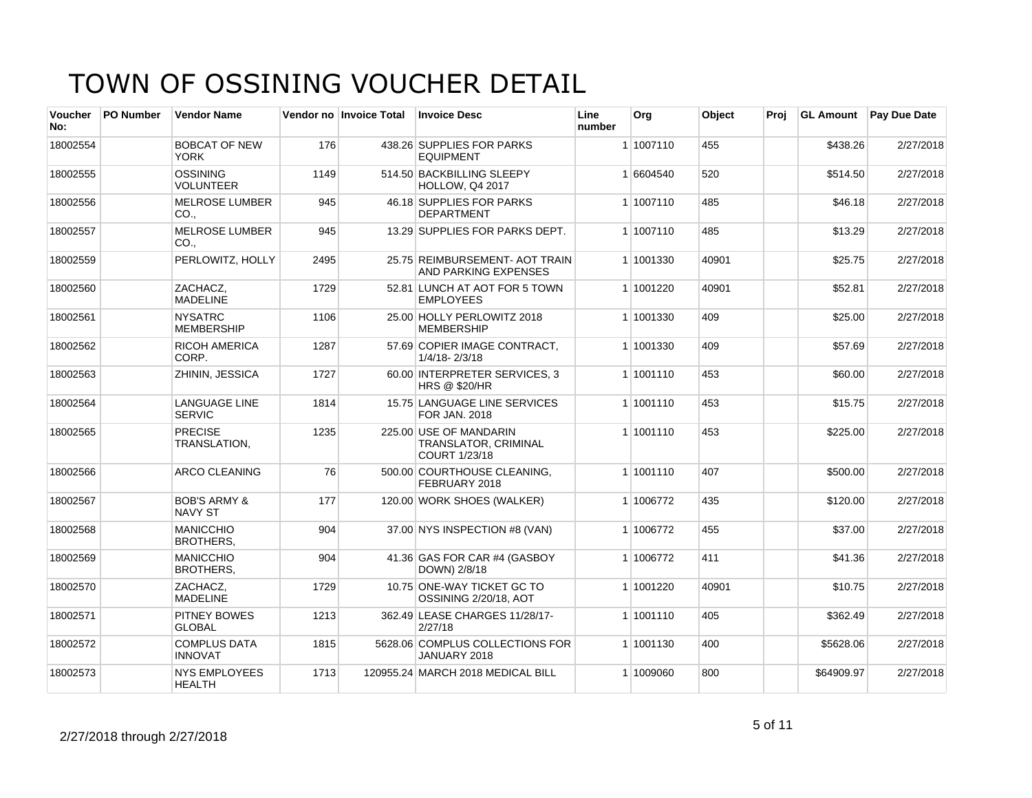| <b>Voucher</b><br>No: | PO Number | <b>Vendor Name</b>                        |      | Vendor no Invoice Total | <b>Invoice Desc</b>                                                    | Line<br>number | Org       | Object | Proj | <b>GL Amount</b> | Pay Due Date |
|-----------------------|-----------|-------------------------------------------|------|-------------------------|------------------------------------------------------------------------|----------------|-----------|--------|------|------------------|--------------|
| 18002554              |           | <b>BOBCAT OF NEW</b><br><b>YORK</b>       | 176  |                         | 438.26 SUPPLIES FOR PARKS<br><b>EQUIPMENT</b>                          |                | 1 1007110 | 455    |      | \$438.26         | 2/27/2018    |
| 18002555              |           | OSSINING<br><b>VOLUNTEER</b>              | 1149 |                         | 514.50 BACKBILLING SLEEPY<br><b>HOLLOW, Q4 2017</b>                    |                | 1 6604540 | 520    |      | \$514.50         | 2/27/2018    |
| 18002556              |           | <b>MELROSE LUMBER</b><br>CO.,             | 945  |                         | 46.18 SUPPLIES FOR PARKS<br><b>DEPARTMENT</b>                          |                | 1 1007110 | 485    |      | \$46.18          | 2/27/2018    |
| 18002557              |           | <b>MELROSE LUMBER</b><br>CO.              | 945  |                         | 13.29 SUPPLIES FOR PARKS DEPT.                                         |                | 1 1007110 | 485    |      | \$13.29          | 2/27/2018    |
| 18002559              |           | PERLOWITZ, HOLLY                          | 2495 |                         | 25.75 REIMBURSEMENT- AOT TRAIN<br><b>AND PARKING EXPENSES</b>          |                | 1 1001330 | 40901  |      | \$25.75          | 2/27/2018    |
| 18002560              |           | ZACHACZ.<br><b>MADELINE</b>               | 1729 |                         | 52.81 LUNCH AT AOT FOR 5 TOWN<br><b>EMPLOYEES</b>                      |                | 1 1001220 | 40901  |      | \$52.81          | 2/27/2018    |
| 18002561              |           | <b>NYSATRC</b><br><b>MEMBERSHIP</b>       | 1106 |                         | 25.00 HOLLY PERLOWITZ 2018<br><b>MEMBERSHIP</b>                        |                | 1 1001330 | 409    |      | \$25.00          | 2/27/2018    |
| 18002562              |           | <b>RICOH AMERICA</b><br>CORP.             | 1287 |                         | 57.69 COPIER IMAGE CONTRACT.<br>1/4/18-2/3/18                          |                | 1 1001330 | 409    |      | \$57.69          | 2/27/2018    |
| 18002563              |           | ZHININ, JESSICA                           | 1727 |                         | 60.00 INTERPRETER SERVICES, 3<br><b>HRS @ \$20/HR</b>                  |                | 1 1001110 | 453    |      | \$60.00          | 2/27/2018    |
| 18002564              |           | <b>LANGUAGE LINE</b><br><b>SERVIC</b>     | 1814 |                         | 15.75 LANGUAGE LINE SERVICES<br>FOR JAN. 2018                          |                | 1 1001110 | 453    |      | \$15.75          | 2/27/2018    |
| 18002565              |           | <b>PRECISE</b><br>TRANSLATION,            | 1235 |                         | 225.00 USE OF MANDARIN<br>TRANSLATOR, CRIMINAL<br><b>COURT 1/23/18</b> |                | 1 1001110 | 453    |      | \$225.00         | 2/27/2018    |
| 18002566              |           | <b>ARCO CLEANING</b>                      | 76   |                         | 500.00 COURTHOUSE CLEANING,<br>FEBRUARY 2018                           |                | 1 1001110 | 407    |      | \$500.00         | 2/27/2018    |
| 18002567              |           | <b>BOB'S ARMY &amp;</b><br><b>NAVY ST</b> | 177  |                         | 120.00 WORK SHOES (WALKER)                                             |                | 1 1006772 | 435    |      | \$120.00         | 2/27/2018    |
| 18002568              |           | <b>MANICCHIO</b><br><b>BROTHERS.</b>      | 904  |                         | 37.00 NYS INSPECTION #8 (VAN)                                          |                | 1 1006772 | 455    |      | \$37.00          | 2/27/2018    |
| 18002569              |           | <b>MANICCHIO</b><br><b>BROTHERS,</b>      | 904  |                         | 41.36 GAS FOR CAR #4 (GASBOY<br>DOWN) 2/8/18                           |                | 1 1006772 | 411    |      | \$41.36          | 2/27/2018    |
| 18002570              |           | ZACHACZ,<br><b>MADELINE</b>               | 1729 |                         | 10.75 ONE-WAY TICKET GC TO<br>OSSINING 2/20/18, AOT                    |                | 1 1001220 | 40901  |      | \$10.75          | 2/27/2018    |
| 18002571              |           | PITNEY BOWES<br><b>GLOBAL</b>             | 1213 |                         | 362.49 LEASE CHARGES 11/28/17-<br>2/27/18                              |                | 1 1001110 | 405    |      | \$362.49         | 2/27/2018    |
| 18002572              |           | <b>COMPLUS DATA</b><br><b>INNOVAT</b>     | 1815 |                         | 5628.06 COMPLUS COLLECTIONS FOR<br>JANUARY 2018                        |                | 1 1001130 | 400    |      | \$5628.06        | 2/27/2018    |
| 18002573              |           | <b>NYS EMPLOYEES</b><br><b>HEALTH</b>     | 1713 |                         | 120955.24 MARCH 2018 MEDICAL BILL                                      |                | 1 1009060 | 800    |      | \$64909.97       | 2/27/2018    |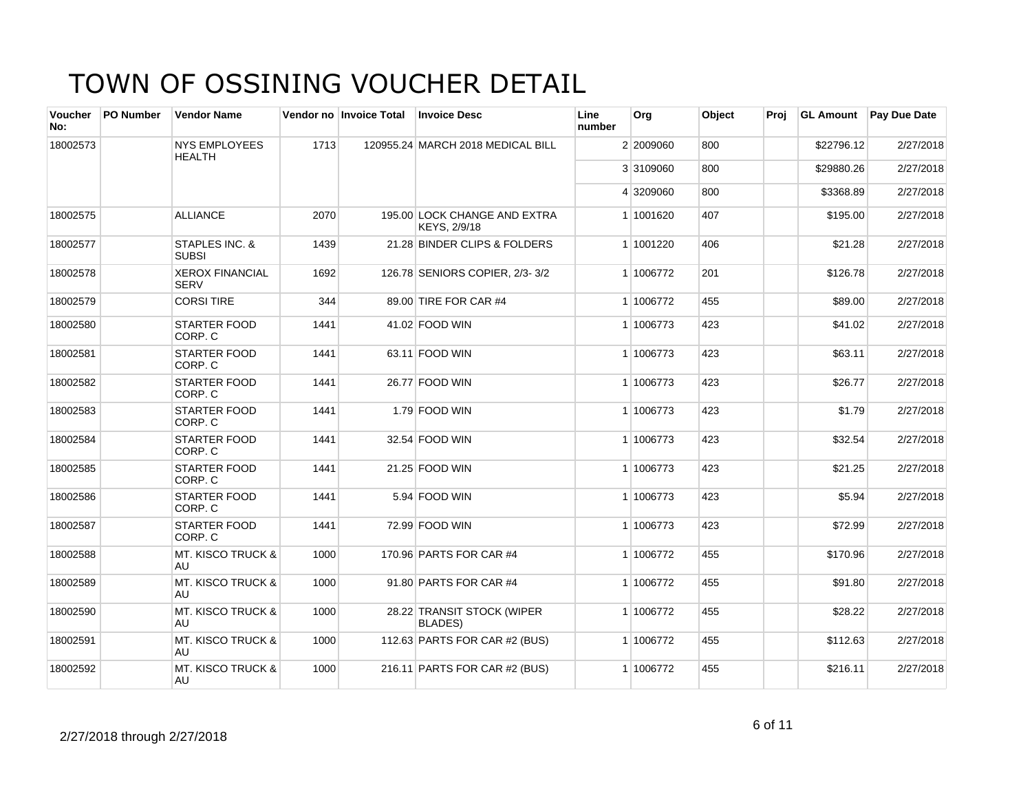| <b>Voucher</b><br>No: | <b>PO Number</b> | <b>Vendor Name</b>                    |      | Vendor no Invoice Total | <b>Invoice Desc</b>                          | Line<br>number | <b>Org</b> | Object | Proi | <b>GL Amount</b> | <b>Pay Due Date</b> |
|-----------------------|------------------|---------------------------------------|------|-------------------------|----------------------------------------------|----------------|------------|--------|------|------------------|---------------------|
| 18002573              |                  | <b>NYS EMPLOYEES</b><br><b>HEALTH</b> | 1713 |                         | 120955.24 MARCH 2018 MEDICAL BILL            |                | 2 2009060  | 800    |      | \$22796.12       | 2/27/2018           |
|                       |                  |                                       |      |                         |                                              |                | 3 3109060  | 800    |      | \$29880.26       | 2/27/2018           |
|                       |                  |                                       |      |                         |                                              |                | 4 3209060  | 800    |      | \$3368.89        | 2/27/2018           |
| 18002575              |                  | <b>ALLIANCE</b>                       | 2070 |                         | 195.00 LOCK CHANGE AND EXTRA<br>KEYS, 2/9/18 |                | 1 1001620  | 407    |      | \$195.00         | 2/27/2018           |
| 18002577              |                  | STAPLES INC. &<br><b>SUBSI</b>        | 1439 |                         | 21.28 BINDER CLIPS & FOLDERS                 |                | 1 1001220  | 406    |      | \$21.28          | 2/27/2018           |
| 18002578              |                  | <b>XEROX FINANCIAL</b><br><b>SERV</b> | 1692 |                         | 126.78 SENIORS COPIER, 2/3-3/2               |                | 1 1006772  | 201    |      | \$126.78         | 2/27/2018           |
| 18002579              |                  | <b>CORSI TIRE</b>                     | 344  |                         | 89.00 TIRE FOR CAR #4                        |                | 1 1006772  | 455    |      | \$89.00          | 2/27/2018           |
| 18002580              |                  | <b>STARTER FOOD</b><br>CORP. C        | 1441 |                         | 41.02 FOOD WIN                               |                | 1 1006773  | 423    |      | \$41.02          | 2/27/2018           |
| 18002581              |                  | <b>STARTER FOOD</b><br>CORP. C        | 1441 |                         | 63.11 FOOD WIN                               |                | 1 1006773  | 423    |      | \$63.11          | 2/27/2018           |
| 18002582              |                  | <b>STARTER FOOD</b><br>CORP. C        | 1441 |                         | 26.77 FOOD WIN                               |                | 1 1006773  | 423    |      | \$26.77          | 2/27/2018           |
| 18002583              |                  | <b>STARTER FOOD</b><br>CORP. C        | 1441 |                         | 1.79 FOOD WIN                                |                | 1 1006773  | 423    |      | \$1.79           | 2/27/2018           |
| 18002584              |                  | <b>STARTER FOOD</b><br>CORP. C        | 1441 |                         | 32.54 FOOD WIN                               |                | 1 1006773  | 423    |      | \$32.54          | 2/27/2018           |
| 18002585              |                  | <b>STARTER FOOD</b><br>CORP. C        | 1441 |                         | 21.25 FOOD WIN                               |                | 1 1006773  | 423    |      | \$21.25          | 2/27/2018           |
| 18002586              |                  | <b>STARTER FOOD</b><br>CORP. C        | 1441 |                         | 5.94 FOOD WIN                                |                | 1 1006773  | 423    |      | \$5.94           | 2/27/2018           |
| 18002587              |                  | <b>STARTER FOOD</b><br>CORP. C        | 1441 |                         | 72.99 FOOD WIN                               |                | 1 1006773  | 423    |      | \$72.99          | 2/27/2018           |
| 18002588              |                  | <b>MT. KISCO TRUCK &amp;</b><br>AU    | 1000 |                         | 170.96 PARTS FOR CAR #4                      |                | 1 1006772  | 455    |      | \$170.96         | 2/27/2018           |
| 18002589              |                  | <b>MT. KISCO TRUCK &amp;</b><br>AU    | 1000 |                         | 91.80 PARTS FOR CAR #4                       |                | 1 1006772  | 455    |      | \$91.80          | 2/27/2018           |
| 18002590              |                  | <b>MT. KISCO TRUCK &amp;</b><br>AU    | 1000 |                         | 28.22 TRANSIT STOCK (WIPER<br><b>BLADES)</b> |                | 1 1006772  | 455    |      | \$28.22          | 2/27/2018           |
| 18002591              |                  | <b>MT. KISCO TRUCK &amp;</b><br>AU    | 1000 |                         | 112.63 PARTS FOR CAR #2 (BUS)                |                | 1 1006772  | 455    |      | \$112.63         | 2/27/2018           |
| 18002592              |                  | <b>MT. KISCO TRUCK &amp;</b><br>AU    | 1000 |                         | 216.11 PARTS FOR CAR #2 (BUS)                |                | 1 1006772  | 455    |      | \$216.11         | 2/27/2018           |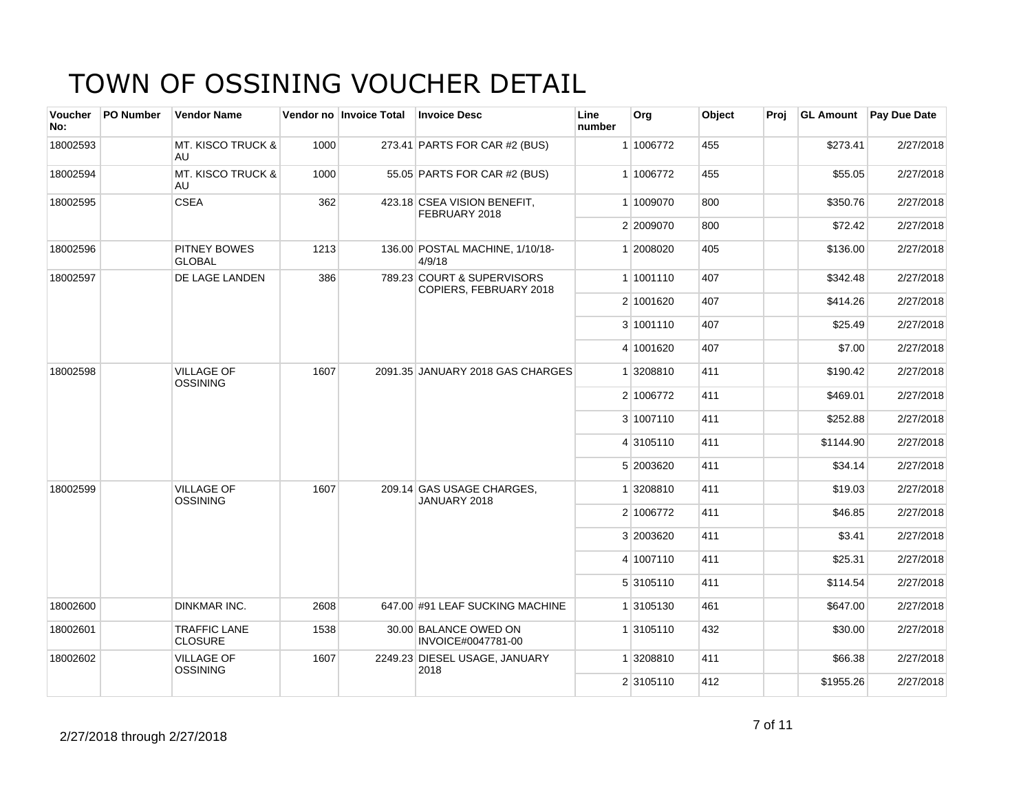| <b>Voucher</b><br>No: | <b>PO Number</b> | <b>Vendor Name</b>                    |      | Vendor no Invoice Total | <b>Invoice Desc</b>                                  | Line<br>number | Org       | Object | Proj | <b>GL Amount</b> | <b>Pay Due Date</b> |
|-----------------------|------------------|---------------------------------------|------|-------------------------|------------------------------------------------------|----------------|-----------|--------|------|------------------|---------------------|
| 18002593              |                  | MT. KISCO TRUCK &<br>AU               | 1000 |                         | 273.41 PARTS FOR CAR #2 (BUS)                        |                | 1 1006772 | 455    |      | \$273.41         | 2/27/2018           |
| 18002594              |                  | <b>MT. KISCO TRUCK &amp;</b><br>AU    | 1000 |                         | 55.05 PARTS FOR CAR #2 (BUS)                         |                | 1 1006772 | 455    |      | \$55.05          | 2/27/2018           |
| 18002595              |                  | <b>CSEA</b>                           | 362  |                         | 423.18 CSEA VISION BENEFIT,<br>FEBRUARY 2018         |                | 1 1009070 | 800    |      | \$350.76         | 2/27/2018           |
|                       |                  |                                       |      |                         |                                                      |                | 2 2009070 | 800    |      | \$72.42          | 2/27/2018           |
| 18002596              |                  | PITNEY BOWES<br><b>GLOBAL</b>         | 1213 |                         | 136.00 POSTAL MACHINE, 1/10/18-<br>4/9/18            |                | 1 2008020 | 405    |      | \$136.00         | 2/27/2018           |
| 18002597              |                  | DE LAGE LANDEN                        | 386  |                         | 789.23 COURT & SUPERVISORS<br>COPIERS, FEBRUARY 2018 |                | 1 1001110 | 407    |      | \$342.48         | 2/27/2018           |
|                       |                  |                                       |      |                         |                                                      |                | 2 1001620 | 407    |      | \$414.26         | 2/27/2018           |
|                       |                  |                                       |      |                         |                                                      |                | 3 1001110 | 407    |      | \$25.49          | 2/27/2018           |
|                       |                  |                                       |      |                         |                                                      |                | 4 1001620 | 407    |      | \$7.00           | 2/27/2018           |
| 18002598              |                  | <b>VILLAGE OF</b><br><b>OSSINING</b>  | 1607 |                         | 2091.35 JANUARY 2018 GAS CHARGES                     |                | 1 3208810 | 411    |      | \$190.42         | 2/27/2018           |
|                       |                  |                                       |      |                         |                                                      |                | 2 1006772 | 411    |      | \$469.01         | 2/27/2018           |
|                       |                  |                                       |      |                         |                                                      |                | 3 1007110 | 411    |      | \$252.88         | 2/27/2018           |
|                       |                  |                                       |      |                         |                                                      |                | 4 3105110 | 411    |      | \$1144.90        | 2/27/2018           |
|                       |                  |                                       |      |                         |                                                      |                | 5 2003620 | 411    |      | \$34.14          | 2/27/2018           |
| 18002599              |                  | <b>VILLAGE OF</b><br><b>OSSINING</b>  | 1607 |                         | 209.14 GAS USAGE CHARGES,<br>JANUARY 2018            |                | 1 3208810 | 411    |      | \$19.03          | 2/27/2018           |
|                       |                  |                                       |      |                         |                                                      |                | 2 1006772 | 411    |      | \$46.85          | 2/27/2018           |
|                       |                  |                                       |      |                         |                                                      |                | 3 2003620 | 411    |      | \$3.41           | 2/27/2018           |
|                       |                  |                                       |      |                         |                                                      |                | 4 1007110 | 411    |      | \$25.31          | 2/27/2018           |
|                       |                  |                                       |      |                         |                                                      |                | 5 3105110 | 411    |      | \$114.54         | 2/27/2018           |
| 18002600              |                  | <b>DINKMAR INC.</b>                   | 2608 |                         | 647.00 #91 LEAF SUCKING MACHINE                      |                | 1 3105130 | 461    |      | \$647.00         | 2/27/2018           |
| 18002601              |                  | <b>TRAFFIC LANE</b><br><b>CLOSURE</b> | 1538 |                         | 30.00 BALANCE OWED ON<br>INVOICE#0047781-00          |                | 1 3105110 | 432    |      | \$30.00          | 2/27/2018           |
| 18002602              |                  | <b>VILLAGE OF</b><br>OSSINING         | 1607 |                         | 2249.23 DIESEL USAGE, JANUARY<br>2018                |                | 1 3208810 | 411    |      | \$66.38          | 2/27/2018           |
|                       |                  |                                       |      |                         |                                                      |                | 2 3105110 | 412    |      | \$1955.26        | 2/27/2018           |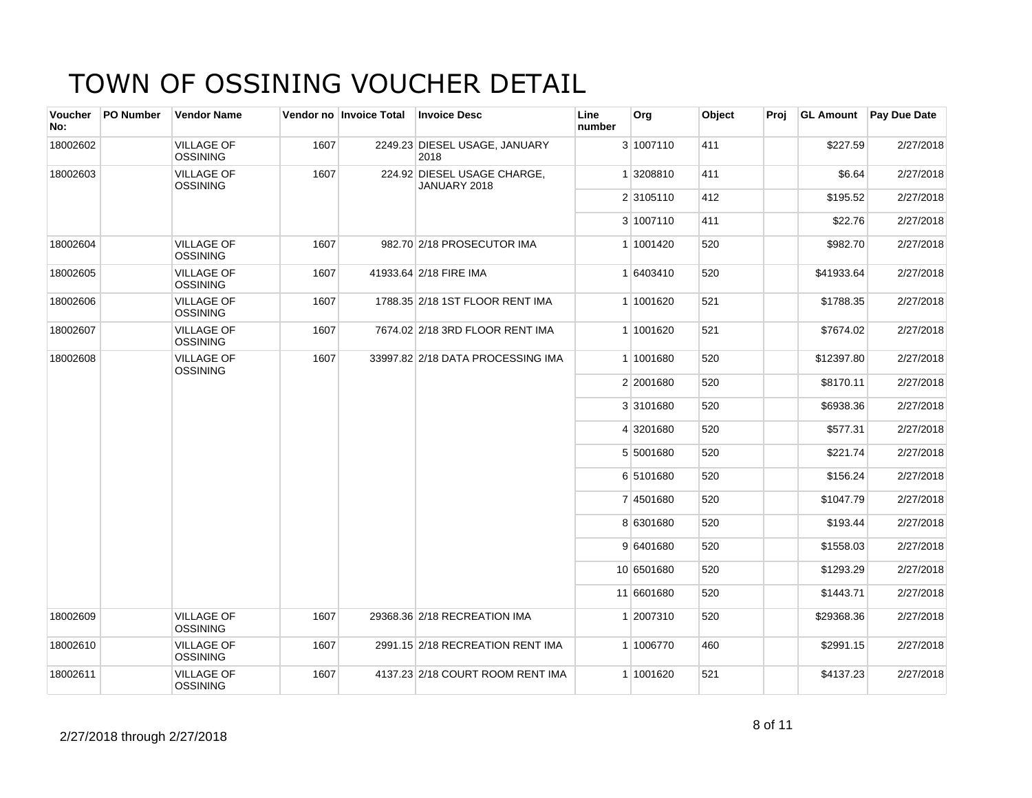| Voucher<br>No: | PO Number | <b>Vendor Name</b>                   |      | Vendor no Invoice Total | <b>Invoice Desc</b>                         | Line<br>number | Org        | Object | Proj |            | <b>GL Amount</b> Pay Due Date |
|----------------|-----------|--------------------------------------|------|-------------------------|---------------------------------------------|----------------|------------|--------|------|------------|-------------------------------|
| 18002602       |           | <b>VILLAGE OF</b><br><b>OSSINING</b> | 1607 |                         | 2249.23 DIESEL USAGE, JANUARY<br>2018       |                | 3 1007110  | 411    |      | \$227.59   | 2/27/2018                     |
| 18002603       |           | <b>VILLAGE OF</b><br><b>OSSINING</b> | 1607 |                         | 224.92 DIESEL USAGE CHARGE,<br>JANUARY 2018 |                | 1 3208810  | 411    |      | \$6.64     | 2/27/2018                     |
|                |           |                                      |      |                         |                                             |                | 2 3105110  | 412    |      | \$195.52   | 2/27/2018                     |
|                |           |                                      |      |                         |                                             |                | 3 1007110  | 411    |      | \$22.76    | 2/27/2018                     |
| 18002604       |           | <b>VILLAGE OF</b><br><b>OSSINING</b> | 1607 |                         | 982.70 2/18 PROSECUTOR IMA                  |                | 1 1001420  | 520    |      | \$982.70   | 2/27/2018                     |
| 18002605       |           | <b>VILLAGE OF</b><br><b>OSSINING</b> | 1607 |                         | 41933.64 2/18 FIRE IMA                      |                | 1 6403410  | 520    |      | \$41933.64 | 2/27/2018                     |
| 18002606       |           | <b>VILLAGE OF</b><br><b>OSSINING</b> | 1607 |                         | 1788.35 2/18 1ST FLOOR RENT IMA             |                | 1 1001620  | 521    |      | \$1788.35  | 2/27/2018                     |
| 18002607       |           | <b>VILLAGE OF</b><br><b>OSSINING</b> | 1607 |                         | 7674.02 2/18 3RD FLOOR RENT IMA             |                | 1 1001620  | 521    |      | \$7674.02  | 2/27/2018                     |
| 18002608       |           | <b>VILLAGE OF</b><br><b>OSSINING</b> | 1607 |                         | 33997.82 2/18 DATA PROCESSING IMA           |                | 1 1001680  | 520    |      | \$12397.80 | 2/27/2018                     |
|                |           |                                      |      |                         |                                             |                | 2 2001680  | 520    |      | \$8170.11  | 2/27/2018                     |
|                |           |                                      |      |                         |                                             |                | 3 3101680  | 520    |      | \$6938.36  | 2/27/2018                     |
|                |           |                                      |      |                         |                                             |                | 4 3201680  | 520    |      | \$577.31   | 2/27/2018                     |
|                |           |                                      |      |                         |                                             |                | 5 5001680  | 520    |      | \$221.74   | 2/27/2018                     |
|                |           |                                      |      |                         |                                             |                | 6 5101680  | 520    |      | \$156.24   | 2/27/2018                     |
|                |           |                                      |      |                         |                                             |                | 7 4501680  | 520    |      | \$1047.79  | 2/27/2018                     |
|                |           |                                      |      |                         |                                             |                | 8 6301680  | 520    |      | \$193.44   | 2/27/2018                     |
|                |           |                                      |      |                         |                                             |                | 9 6401680  | 520    |      | \$1558.03  | 2/27/2018                     |
|                |           |                                      |      |                         |                                             |                | 10 6501680 | 520    |      | \$1293.29  | 2/27/2018                     |
|                |           |                                      |      |                         |                                             |                | 11 6601680 | 520    |      | \$1443.71  | 2/27/2018                     |
| 18002609       |           | <b>VILLAGE OF</b><br><b>OSSINING</b> | 1607 |                         | 29368.36 2/18 RECREATION IMA                |                | 1 2007310  | 520    |      | \$29368.36 | 2/27/2018                     |
| 18002610       |           | <b>VILLAGE OF</b><br><b>OSSINING</b> | 1607 |                         | 2991.15 2/18 RECREATION RENT IMA            |                | 1 1006770  | 460    |      | \$2991.15  | 2/27/2018                     |
| 18002611       |           | <b>VILLAGE OF</b><br><b>OSSINING</b> | 1607 |                         | 4137.23 2/18 COURT ROOM RENT IMA            |                | 1 1001620  | 521    |      | \$4137.23  | 2/27/2018                     |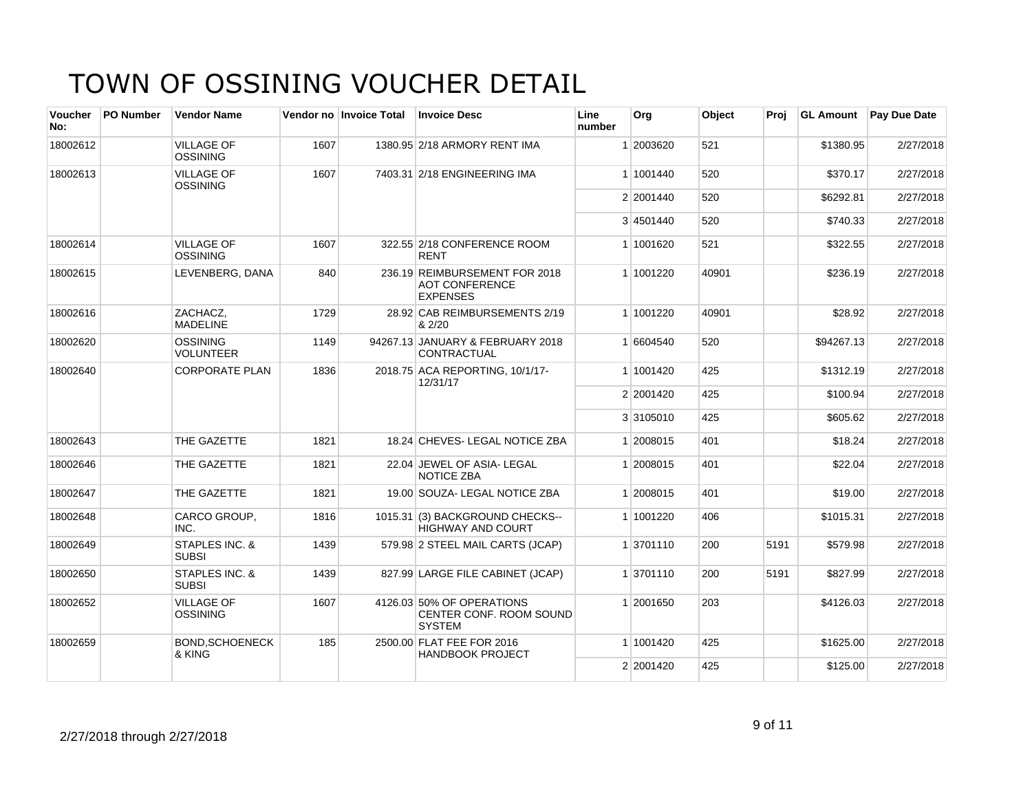| <b>Voucher</b><br>No: | <b>PO Number</b> | <b>Vendor Name</b>                        |      | Vendor no Invoice Total | <b>Invoice Desc</b>                                                       | Line<br>number | Org       | Object | Proi | <b>GL Amount</b> | <b>Pay Due Date</b> |
|-----------------------|------------------|-------------------------------------------|------|-------------------------|---------------------------------------------------------------------------|----------------|-----------|--------|------|------------------|---------------------|
| 18002612              |                  | <b>VILLAGE OF</b><br><b>OSSINING</b>      | 1607 |                         | 1380.95 2/18 ARMORY RENT IMA                                              |                | 1 2003620 | 521    |      | \$1380.95        | 2/27/2018           |
| 18002613              |                  | <b>VILLAGE OF</b><br>OSSINING             | 1607 |                         | 7403.31 2/18 ENGINEERING IMA                                              |                | 1 1001440 | 520    |      | \$370.17         | 2/27/2018           |
|                       |                  |                                           |      |                         |                                                                           |                | 2 2001440 | 520    |      | \$6292.81        | 2/27/2018           |
|                       |                  |                                           |      |                         |                                                                           |                | 3 4501440 | 520    |      | \$740.33         | 2/27/2018           |
| 18002614              |                  | <b>VILLAGE OF</b><br>OSSINING             | 1607 |                         | 322.55 2/18 CONFERENCE ROOM<br><b>RENT</b>                                |                | 1 1001620 | 521    |      | \$322.55         | 2/27/2018           |
| 18002615              |                  | LEVENBERG, DANA                           | 840  |                         | 236.19 REIMBURSEMENT FOR 2018<br><b>AOT CONFERENCE</b><br><b>EXPENSES</b> |                | 1 1001220 | 40901  |      | \$236.19         | 2/27/2018           |
| 18002616              |                  | ZACHACZ,<br><b>MADELINE</b>               | 1729 |                         | 28.92 CAB REIMBURSEMENTS 2/19<br>& 2/20                                   |                | 1 1001220 | 40901  |      | \$28.92          | 2/27/2018           |
| 18002620              |                  | <b>OSSINING</b><br><b>VOLUNTEER</b>       | 1149 |                         | 94267.13 JANUARY & FEBRUARY 2018<br>CONTRACTUAL                           |                | 1 6604540 | 520    |      | \$94267.13       | 2/27/2018           |
| 18002640              |                  | <b>CORPORATE PLAN</b>                     | 1836 |                         | 2018.75 ACA REPORTING, 10/1/17-<br>12/31/17                               |                | 1 1001420 | 425    |      | \$1312.19        | 2/27/2018           |
|                       |                  |                                           |      |                         |                                                                           |                | 2 2001420 | 425    |      | \$100.94         | 2/27/2018           |
|                       |                  |                                           |      |                         |                                                                           |                | 3 3105010 | 425    |      | \$605.62         | 2/27/2018           |
| 18002643              |                  | THE GAZETTE                               | 1821 |                         | 18.24 CHEVES-LEGAL NOTICE ZBA                                             |                | 1 2008015 | 401    |      | \$18.24          | 2/27/2018           |
| 18002646              |                  | THE GAZETTE                               | 1821 |                         | 22.04 JEWEL OF ASIA- LEGAL<br><b>NOTICE ZBA</b>                           |                | 1 2008015 | 401    |      | \$22.04          | 2/27/2018           |
| 18002647              |                  | THE GAZETTE                               | 1821 |                         | 19.00 SOUZA- LEGAL NOTICE ZBA                                             |                | 1 2008015 | 401    |      | \$19.00          | 2/27/2018           |
| 18002648              |                  | CARCO GROUP,<br>INC.                      | 1816 |                         | 1015.31 (3) BACKGROUND CHECKS--<br><b>HIGHWAY AND COURT</b>               |                | 1 1001220 | 406    |      | \$1015.31        | 2/27/2018           |
| 18002649              |                  | STAPLES INC. &<br><b>SUBSI</b>            | 1439 |                         | 579.98 2 STEEL MAIL CARTS (JCAP)                                          |                | 1 3701110 | 200    | 5191 | \$579.98         | 2/27/2018           |
| 18002650              |                  | <b>STAPLES INC. &amp;</b><br><b>SUBSI</b> | 1439 |                         | 827.99 LARGE FILE CABINET (JCAP)                                          |                | 1 3701110 | 200    | 5191 | \$827.99         | 2/27/2018           |
| 18002652              |                  | <b>VILLAGE OF</b><br><b>OSSINING</b>      | 1607 |                         | 4126.03 50% OF OPERATIONS<br>CENTER CONF. ROOM SOUND<br><b>SYSTEM</b>     |                | 1 2001650 | 203    |      | \$4126.03        | 2/27/2018           |
| 18002659              |                  | <b>BOND, SCHOENECK</b><br>& KING          | 185  |                         | 2500.00 FLAT FEE FOR 2016<br><b>HANDBOOK PROJECT</b>                      |                | 1 1001420 | 425    |      | \$1625.00        | 2/27/2018           |
|                       |                  |                                           |      |                         |                                                                           |                | 2 2001420 | 425    |      | \$125.00         | 2/27/2018           |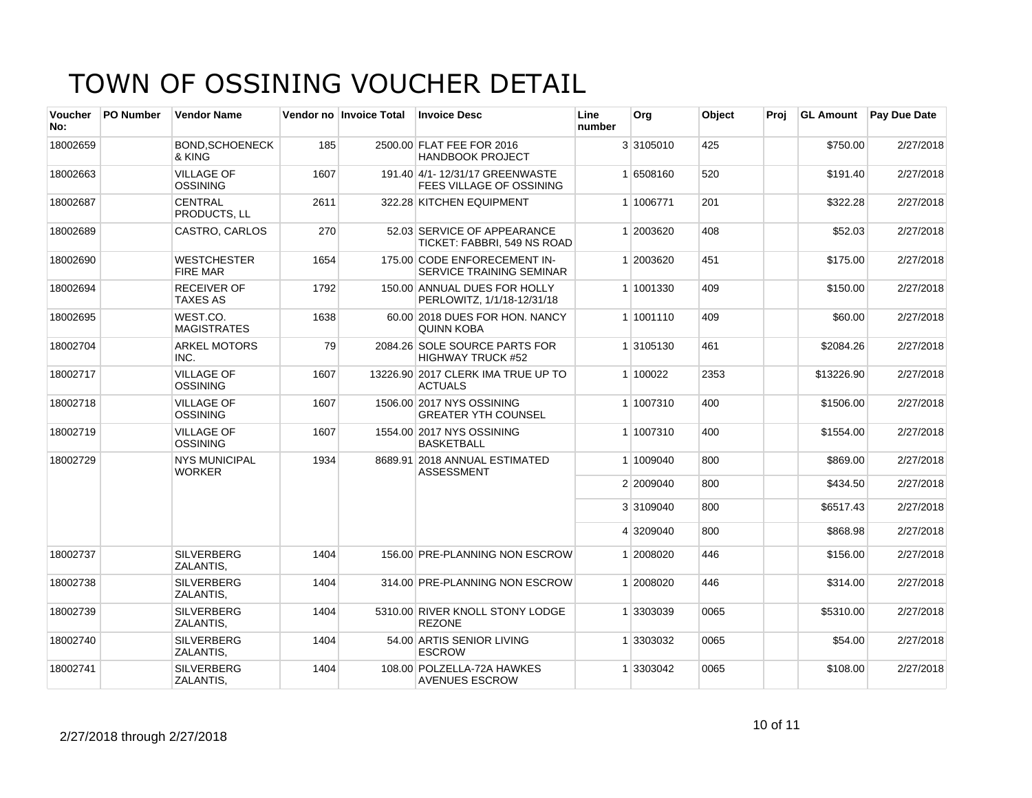| <b>Voucher</b><br>No: | <b>PO Number</b> | <b>Vendor Name</b>                    |      | Vendor no Invoice Total | <b>Invoice Desc</b>                                             | Line<br>number | Org       | Object | Proi | <b>GL Amount</b> | Pay Due Date |
|-----------------------|------------------|---------------------------------------|------|-------------------------|-----------------------------------------------------------------|----------------|-----------|--------|------|------------------|--------------|
| 18002659              |                  | <b>BOND.SCHOENECK</b><br>& KING       | 185  |                         | 2500.00 FLAT FEE FOR 2016<br><b>HANDBOOK PROJECT</b>            |                | 3 3105010 | 425    |      | \$750.00         | 2/27/2018    |
| 18002663              |                  | <b>VILLAGE OF</b><br>OSSINING         | 1607 |                         | 191.40 4/1-12/31/17 GREENWASTE<br>FEES VILLAGE OF OSSINING      |                | 1 6508160 | 520    |      | \$191.40         | 2/27/2018    |
| 18002687              |                  | <b>CENTRAL</b><br><b>PRODUCTS, LL</b> | 2611 |                         | 322.28 KITCHEN EQUIPMENT                                        |                | 1 1006771 | 201    |      | \$322.28         | 2/27/2018    |
| 18002689              |                  | CASTRO, CARLOS                        | 270  |                         | 52.03 SERVICE OF APPEARANCE<br>TICKET: FABBRI, 549 NS ROAD      |                | 1 2003620 | 408    |      | \$52.03          | 2/27/2018    |
| 18002690              |                  | <b>WESTCHESTER</b><br><b>FIRE MAR</b> | 1654 |                         | 175.00 CODE ENFORECEMENT IN-<br><b>SERVICE TRAINING SEMINAR</b> |                | 1 2003620 | 451    |      | \$175.00         | 2/27/2018    |
| 18002694              |                  | <b>RECEIVER OF</b><br><b>TAXES AS</b> | 1792 |                         | 150.00 ANNUAL DUES FOR HOLLY<br>PERLOWITZ, 1/1/18-12/31/18      |                | 1 1001330 | 409    |      | \$150.00         | 2/27/2018    |
| 18002695              |                  | WEST.CO.<br><b>MAGISTRATES</b>        | 1638 |                         | 60.00 2018 DUES FOR HON. NANCY<br><b>QUINN KOBA</b>             |                | 1 1001110 | 409    |      | \$60.00          | 2/27/2018    |
| 18002704              |                  | <b>ARKEL MOTORS</b><br>INC.           | 79   |                         | 2084.26 SOLE SOURCE PARTS FOR<br><b>HIGHWAY TRUCK #52</b>       |                | 1 3105130 | 461    |      | \$2084.26        | 2/27/2018    |
| 18002717              |                  | <b>VILLAGE OF</b><br><b>OSSINING</b>  | 1607 |                         | 13226.90 2017 CLERK IMA TRUE UP TO<br><b>ACTUALS</b>            |                | 1 100022  | 2353   |      | \$13226.90       | 2/27/2018    |
| 18002718              |                  | <b>VILLAGE OF</b><br><b>OSSINING</b>  | 1607 |                         | 1506.00 2017 NYS OSSINING<br><b>GREATER YTH COUNSEL</b>         |                | 1 1007310 | 400    |      | \$1506.00        | 2/27/2018    |
| 18002719              |                  | <b>VILLAGE OF</b><br><b>OSSINING</b>  | 1607 |                         | 1554.00 2017 NYS OSSINING<br><b>BASKETBALL</b>                  |                | 1 1007310 | 400    |      | \$1554.00        | 2/27/2018    |
| 18002729              |                  | <b>NYS MUNICIPAL</b><br><b>WORKER</b> | 1934 |                         | 8689.91 2018 ANNUAL ESTIMATED<br><b>ASSESSMENT</b>              |                | 1 1009040 | 800    |      | \$869.00         | 2/27/2018    |
|                       |                  |                                       |      |                         |                                                                 |                | 2 2009040 | 800    |      | \$434.50         | 2/27/2018    |
|                       |                  |                                       |      |                         |                                                                 |                | 3 3109040 | 800    |      | \$6517.43        | 2/27/2018    |
|                       |                  |                                       |      |                         |                                                                 |                | 4 3209040 | 800    |      | \$868.98         | 2/27/2018    |
| 18002737              |                  | <b>SILVERBERG</b><br>ZALANTIS,        | 1404 |                         | 156.00 PRE-PLANNING NON ESCROW                                  |                | 1 2008020 | 446    |      | \$156.00         | 2/27/2018    |
| 18002738              |                  | <b>SILVERBERG</b><br>ZALANTIS,        | 1404 |                         | 314.00 PRE-PLANNING NON ESCROW                                  |                | 1 2008020 | 446    |      | \$314.00         | 2/27/2018    |
| 18002739              |                  | <b>SILVERBERG</b><br>ZALANTIS,        | 1404 |                         | 5310.00 RIVER KNOLL STONY LODGE<br><b>REZONE</b>                |                | 1 3303039 | 0065   |      | \$5310.00        | 2/27/2018    |
| 18002740              |                  | <b>SILVERBERG</b><br>ZALANTIS,        | 1404 |                         | 54.00 ARTIS SENIOR LIVING<br><b>ESCROW</b>                      |                | 1 3303032 | 0065   |      | \$54.00          | 2/27/2018    |
| 18002741              |                  | <b>SILVERBERG</b><br>ZALANTIS,        | 1404 |                         | 108.00 POLZELLA-72A HAWKES<br><b>AVENUES ESCROW</b>             |                | 1 3303042 | 0065   |      | \$108.00         | 2/27/2018    |